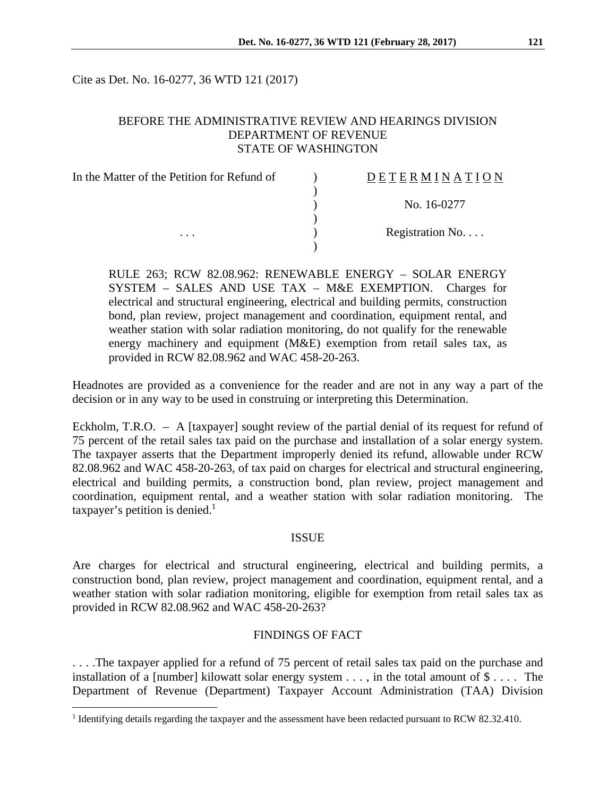Cite as Det. No. 16-0277, 36 WTD 121 (2017)

## BEFORE THE ADMINISTRATIVE REVIEW AND HEARINGS DIVISION DEPARTMENT OF REVENUE STATE OF WASHINGTON

| In the Matter of the Petition for Refund of | DETERMINATION            |
|---------------------------------------------|--------------------------|
|                                             |                          |
|                                             | No. 16-0277              |
|                                             |                          |
| $\cdots$                                    | Registration No. $\dots$ |
|                                             |                          |

RULE 263; RCW 82.08.962: RENEWABLE ENERGY – SOLAR ENERGY SYSTEM – SALES AND USE TAX – M&E EXEMPTION. Charges for electrical and structural engineering, electrical and building permits, construction bond, plan review, project management and coordination, equipment rental, and weather station with solar radiation monitoring, do not qualify for the renewable energy machinery and equipment (M&E) exemption from retail sales tax, as provided in RCW 82.08.962 and WAC 458-20-263.

Headnotes are provided as a convenience for the reader and are not in any way a part of the decision or in any way to be used in construing or interpreting this Determination.

Eckholm, T.R.O. – A [taxpayer] sought review of the partial denial of its request for refund of 75 percent of the retail sales tax paid on the purchase and installation of a solar energy system. The taxpayer asserts that the Department improperly denied its refund, allowable under RCW 82.08.962 and WAC 458-20-263, of tax paid on charges for electrical and structural engineering, electrical and building permits, a construction bond, plan review, project management and coordination, equipment rental, and a weather station with solar radiation monitoring. The taxpayer's petition is denied. $<sup>1</sup>$ </sup>

### ISSUE

Are charges for electrical and structural engineering, electrical and building permits, a construction bond, plan review, project management and coordination, equipment rental, and a weather station with solar radiation monitoring, eligible for exemption from retail sales tax as provided in RCW 82.08.962 and WAC 458-20-263?

### FINDINGS OF FACT

. . . .The taxpayer applied for a refund of 75 percent of retail sales tax paid on the purchase and installation of a [number] kilowatt solar energy system  $\dots$ , in the total amount of  $\$\dots$ . The Department of Revenue (Department) Taxpayer Account Administration (TAA) Division

 $\overline{a}$ 

<sup>&</sup>lt;sup>1</sup> Identifying details regarding the taxpayer and the assessment have been redacted pursuant to RCW 82.32.410.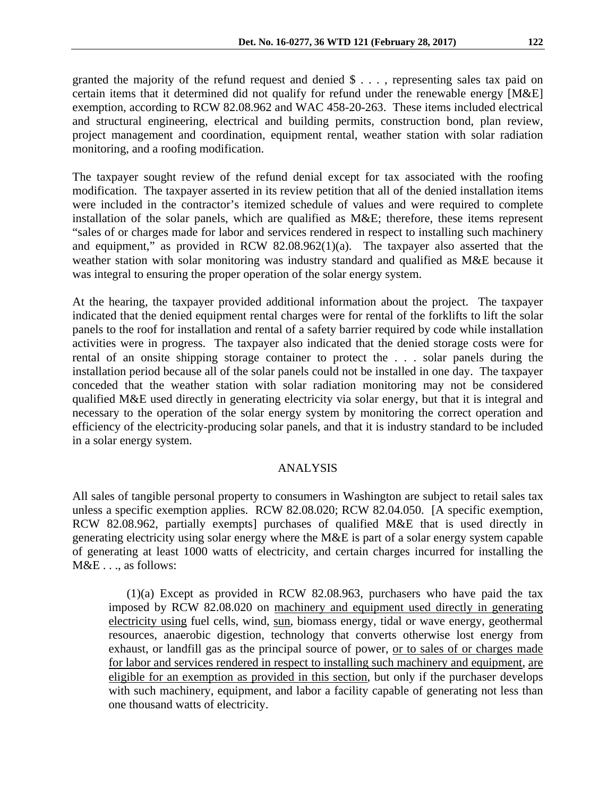granted the majority of the refund request and denied \$ . . . , representing sales tax paid on certain items that it determined did not qualify for refund under the renewable energy [M&E] exemption, according to RCW 82.08.962 and WAC 458-20-263. These items included electrical and structural engineering, electrical and building permits, construction bond, plan review, project management and coordination, equipment rental, weather station with solar radiation monitoring, and a roofing modification.

The taxpayer sought review of the refund denial except for tax associated with the roofing modification. The taxpayer asserted in its review petition that all of the denied installation items were included in the contractor's itemized schedule of values and were required to complete installation of the solar panels, which are qualified as M&E; therefore, these items represent "sales of or charges made for labor and services rendered in respect to installing such machinery and equipment," as provided in RCW 82.08.962(1)(a). The taxpayer also asserted that the weather station with solar monitoring was industry standard and qualified as M&E because it was integral to ensuring the proper operation of the solar energy system.

At the hearing, the taxpayer provided additional information about the project. The taxpayer indicated that the denied equipment rental charges were for rental of the forklifts to lift the solar panels to the roof for installation and rental of a safety barrier required by code while installation activities were in progress. The taxpayer also indicated that the denied storage costs were for rental of an onsite shipping storage container to protect the . . . solar panels during the installation period because all of the solar panels could not be installed in one day. The taxpayer conceded that the weather station with solar radiation monitoring may not be considered qualified M&E used directly in generating electricity via solar energy, but that it is integral and necessary to the operation of the solar energy system by monitoring the correct operation and efficiency of the electricity-producing solar panels, and that it is industry standard to be included in a solar energy system.

### ANALYSIS

All sales of tangible personal property to consumers in Washington are subject to retail sales tax unless a specific exemption applies. RCW 82.08.020; RCW 82.04.050. [A specific exemption, RCW 82.08.962, partially exempts] purchases of qualified M&E that is used directly in generating electricity using solar energy where the M&E is part of a solar energy system capable of generating at least 1000 watts of electricity, and certain charges incurred for installing the M&E . . ., as follows:

(1)(a) Except as provided in RCW 82.08.963, purchasers who have paid the tax imposed by RCW 82.08.020 on machinery and equipment used directly in generating electricity using fuel cells, wind, sun, biomass energy, tidal or wave energy, geothermal resources, anaerobic digestion, technology that converts otherwise lost energy from exhaust, or landfill gas as the principal source of power, <u>or to sales of or charges</u> made for labor and services rendered in respect to installing such machinery and equipment, are eligible for an exemption as provided in this section, but only if the purchaser develops with such machinery, equipment, and labor a facility capable of generating not less than one thousand watts of electricity.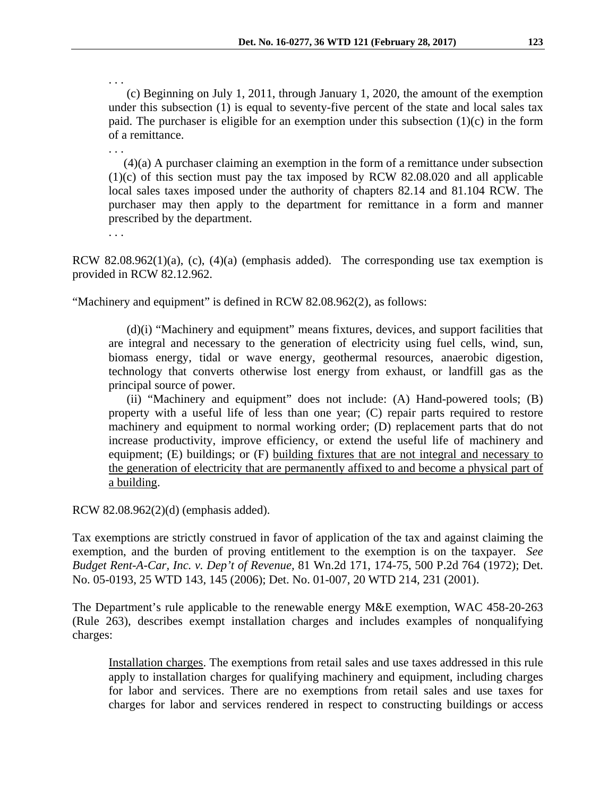. . . (c) Beginning on July 1, 2011, through January 1, 2020, the amount of the exemption under this subsection (1) is equal to seventy-five percent of the state and local sales tax paid. The purchaser is eligible for an exemption under this subsection (1)(c) in the form of a remittance.

 (4)(a) A purchaser claiming an exemption in the form of a remittance under subsection (1)(c) of this section must pay the tax imposed by RCW 82.08.020 and all applicable local sales taxes imposed under the authority of chapters 82.14 and 81.104 RCW. The purchaser may then apply to the department for remittance in a form and manner prescribed by the department.

. . .

. . .

RCW 82.08.962(1)(a), (c), (4)(a) (emphasis added). The corresponding use tax exemption is provided in RCW 82.12.962.

"Machinery and equipment" is defined in RCW 82.08.962(2), as follows:

(d)(i) "Machinery and equipment" means fixtures, devices, and support facilities that are integral and necessary to the generation of electricity using fuel cells, wind, sun, biomass energy, tidal or wave energy, geothermal resources, anaerobic digestion, technology that converts otherwise lost energy from exhaust, or landfill gas as the principal source of power.

(ii) "Machinery and equipment" does not include: (A) Hand-powered tools; (B) property with a useful life of less than one year; (C) repair parts required to restore machinery and equipment to normal working order; (D) replacement parts that do not increase productivity, improve efficiency, or extend the useful life of machinery and equipment; (E) buildings; or (F) building fixtures that are not integral and necessary to the generation of electricity that are permanently affixed to and become a physical part of a building.

RCW 82.08.962(2)(d) (emphasis added).

Tax exemptions are strictly construed in favor of application of the tax and against claiming the exemption, and the burden of proving entitlement to the exemption is on the taxpayer. *See Budget Rent-A-Car, Inc. v. Dep't of Revenue,* 81 Wn.2d 171, 174-75, 500 P.2d 764 (1972); Det. No. 05-0193, 25 WTD 143, 145 (2006); Det. No. 01-007, 20 WTD 214, 231 (2001).

The Department's rule applicable to the renewable energy M&E exemption, WAC 458-20-263 (Rule 263), describes exempt installation charges and includes examples of nonqualifying charges:

Installation charges. The exemptions from retail sales and use taxes addressed in this rule apply to installation charges for qualifying machinery and equipment, including charges for labor and services. There are no exemptions from retail sales and use taxes for charges for labor and services rendered in respect to constructing buildings or access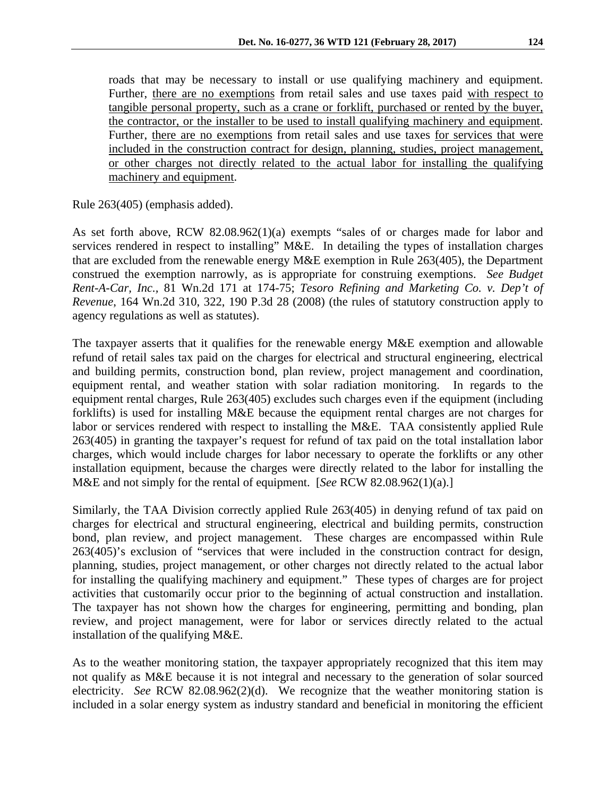roads that may be necessary to install or use qualifying machinery and equipment. Further, there are no exemptions from retail sales and use taxes paid with respect to tangible personal property, such as a crane or forklift, purchased or rented by the buyer, the contractor, or the installer to be used to install qualifying machinery and equipment. Further, there are no exemptions from retail sales and use taxes for services that were included in the construction contract for design, planning, studies, project management, or other charges not directly related to the actual labor for installing the qualifying machinery and equipment.

Rule 263(405) (emphasis added).

As set forth above, RCW 82.08.962(1)(a) exempts "sales of or charges made for labor and services rendered in respect to installing" M&E. In detailing the types of installation charges that are excluded from the renewable energy M&E exemption in Rule 263(405), the Department construed the exemption narrowly, as is appropriate for construing exemptions. *See Budget Rent-A-Car, Inc.,* 81 Wn.2d 171 at 174-75; *Tesoro Refining and Marketing Co. v. Dep't of Revenue*, 164 Wn.2d 310, 322, 190 P.3d 28 (2008) (the rules of statutory construction apply to agency regulations as well as statutes).

The taxpayer asserts that it qualifies for the renewable energy M&E exemption and allowable refund of retail sales tax paid on the charges for electrical and structural engineering, electrical and building permits, construction bond, plan review, project management and coordination, equipment rental, and weather station with solar radiation monitoring. In regards to the equipment rental charges, Rule 263(405) excludes such charges even if the equipment (including forklifts) is used for installing M&E because the equipment rental charges are not charges for labor or services rendered with respect to installing the M&E. TAA consistently applied Rule 263(405) in granting the taxpayer's request for refund of tax paid on the total installation labor charges, which would include charges for labor necessary to operate the forklifts or any other installation equipment, because the charges were directly related to the labor for installing the M&E and not simply for the rental of equipment. [*See* RCW 82.08.962(1)(a).]

Similarly, the TAA Division correctly applied Rule 263(405) in denying refund of tax paid on charges for electrical and structural engineering, electrical and building permits, construction bond, plan review, and project management. These charges are encompassed within Rule 263(405)'s exclusion of "services that were included in the construction contract for design, planning, studies, project management, or other charges not directly related to the actual labor for installing the qualifying machinery and equipment." These types of charges are for project activities that customarily occur prior to the beginning of actual construction and installation. The taxpayer has not shown how the charges for engineering, permitting and bonding, plan review, and project management, were for labor or services directly related to the actual installation of the qualifying M&E.

As to the weather monitoring station, the taxpayer appropriately recognized that this item may not qualify as M&E because it is not integral and necessary to the generation of solar sourced electricity. *See* RCW 82.08.962(2)(d). We recognize that the weather monitoring station is included in a solar energy system as industry standard and beneficial in monitoring the efficient